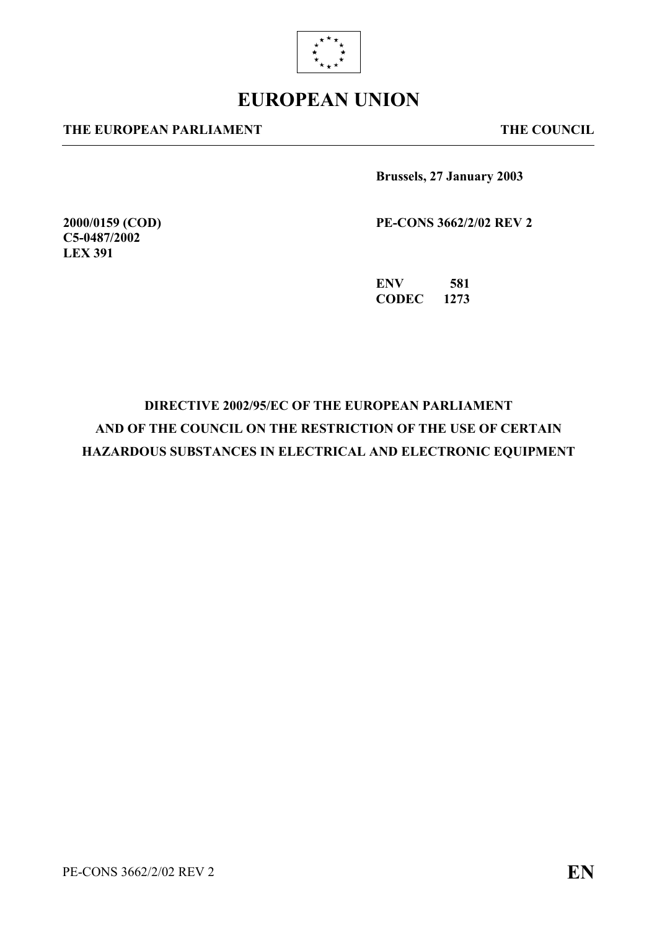

# **EUROPEAN UNION**

#### **THE EUROPEAN PARLIAMENT THE COUNCIL**

**2000/0159 (COD) C5-0487/2002 LEX 391** 

**Brussels, 27 January 2003** 

**PE-CONS 3662/2/02 REV 2** 

**ENV 581 CODEC 1273** 

# **DIRECTIVE 2002/95/EC OF THE EUROPEAN PARLIAMENT AND OF THE COUNCIL ON THE RESTRICTION OF THE USE OF CERTAIN HAZARDOUS SUBSTANCES IN ELECTRICAL AND ELECTRONIC EQUIPMENT**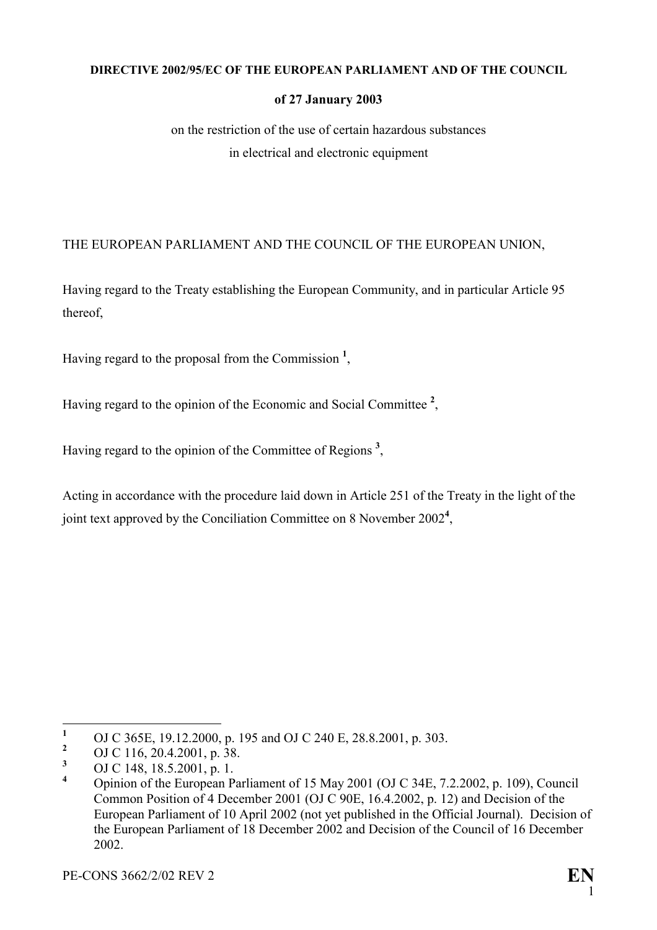#### **DIRECTIVE 2002/95/EC OF THE EUROPEAN PARLIAMENT AND OF THE COUNCIL**

#### **of 27 January 2003**

on the restriction of the use of certain hazardous substances in electrical and electronic equipment

## THE EUROPEAN PARLIAMENT AND THE COUNCIL OF THE EUROPEAN UNION,

Having regard to the Treaty establishing the European Community, and in particular Article 95 thereof,

Having regard to the proposal from the Commission **<sup>1</sup>** [,](#page-1-0)

Having regard to the opinion of the Economic and Social Committee **[2](#page-1-1)** ,

Having regard to the opinion of the Committee of Regions **[3](#page-1-2)** ,

Acting in accordance with the procedure laid down in Article 251 of the Treaty in the light of the joint text approved by the Conciliation Committee on 8 November 2002**[4](#page-1-3)** ,

<span id="page-1-0"></span> $\mathbf{1}$ <sup>1</sup> OJ C 365E, 19.12.2000, p. 195 and OJ C 240 E, 28.8.2001, p. 303.

<span id="page-1-1"></span><sup>&</sup>lt;sup>2</sup> OJ C 116, 20.4.2001, p. 38.

<span id="page-1-2"></span>**<sup>3</sup>** OJ C 148, 18.5.2001, p. 1.

<span id="page-1-3"></span>**<sup>4</sup>** Opinion of the European Parliament of 15 May 2001 (OJ C 34E, 7.2.2002, p. 109), Council Common Position of 4 December 2001 (OJ C 90E, 16.4.2002, p. 12) and Decision of the European Parliament of 10 April 2002 (not yet published in the Official Journal). Decision of the European Parliament of 18 December 2002 and Decision of the Council of 16 December 2002.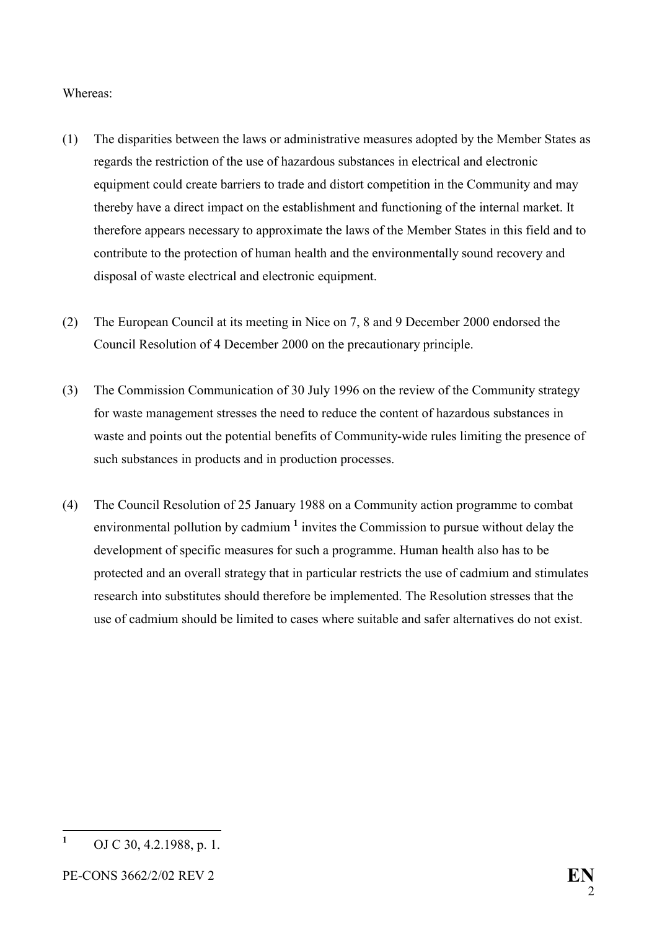#### Whereas:

- (1) The disparities between the laws or administrative measures adopted by the Member States as regards the restriction of the use of hazardous substances in electrical and electronic equipment could create barriers to trade and distort competition in the Community and may thereby have a direct impact on the establishment and functioning of the internal market. It therefore appears necessary to approximate the laws of the Member States in this field and to contribute to the protection of human health and the environmentally sound recovery and disposal of waste electrical and electronic equipment.
- (2) The European Council at its meeting in Nice on 7, 8 and 9 December 2000 endorsed the Council Resolution of 4 December 2000 on the precautionary principle.
- (3) The Commission Communication of 30 July 1996 on the review of the Community strategy for waste management stresses the need to reduce the content of hazardous substances in waste and points out the potential benefits of Community-wide rules limiting the presence of such substances in products and in production processes.
- (4) The Council Resolution of 25 January 1988 on a Community action programme to combat environmental pollution by cadmium **[1](#page-2-0)** invites the Commission to pursue without delay the development of specific measures for such a programme. Human health also has to be protected and an overall strategy that in particular restricts the use of cadmium and stimulates research into substitutes should therefore be implemented. The Resolution stresses that the use of cadmium should be limited to cases where suitable and safer alternatives do not exist.

<span id="page-2-0"></span> $\mathbf{1}$ **<sup>1</sup>** OJ C 30, 4.2.1988, p. 1.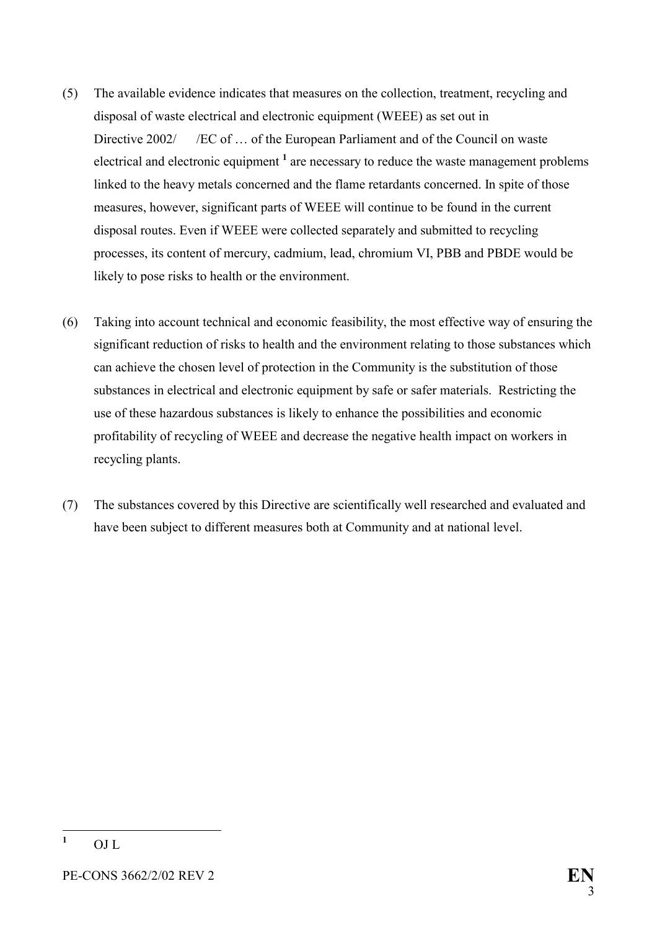- (5) The available evidence indicates that measures on the collection, treatment, recycling and disposal of waste electrical and electronic equipment (WEEE) as set out in Directive 2002/ / *EC* of ... of the European Parliament and of the Council on waste electrical and electronic equipment <sup>[1](#page-3-0)</sup> are necessary to reduce the waste management problems linked to the heavy metals concerned and the flame retardants concerned. In spite of those measures, however, significant parts of WEEE will continue to be found in the current disposal routes. Even if WEEE were collected separately and submitted to recycling processes, its content of mercury, cadmium, lead, chromium VI, PBB and PBDE would be likely to pose risks to health or the environment.
- (6) Taking into account technical and economic feasibility, the most effective way of ensuring the significant reduction of risks to health and the environment relating to those substances which can achieve the chosen level of protection in the Community is the substitution of those substances in electrical and electronic equipment by safe or safer materials. Restricting the use of these hazardous substances is likely to enhance the possibilities and economic profitability of recycling of WEEE and decrease the negative health impact on workers in recycling plants.
- (7) The substances covered by this Directive are scientifically well researched and evaluated and have been subject to different measures both at Community and at national level.

<span id="page-3-0"></span> **1** OJ L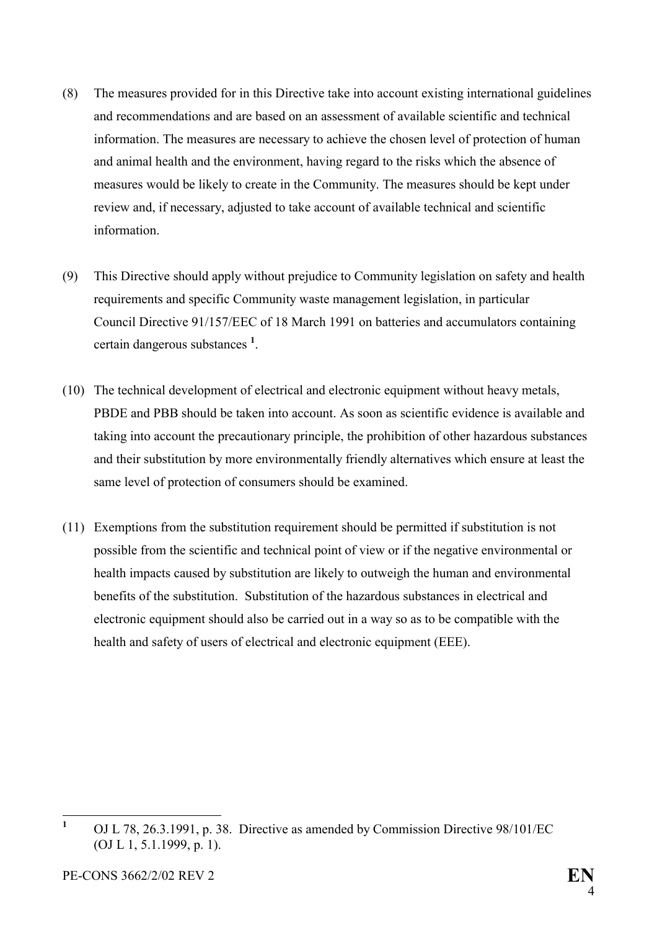- (8) The measures provided for in this Directive take into account existing international guidelines and recommendations and are based on an assessment of available scientific and technical information. The measures are necessary to achieve the chosen level of protection of human and animal health and the environment, having regard to the risks which the absence of measures would be likely to create in the Community. The measures should be kept under review and, if necessary, adjusted to take account of available technical and scientific information.
- (9) This Directive should apply without prejudice to Community legislation on safety and health requirements and specific Community waste management legislation, in particular Council Directive 91/157/EEC of 18 March 1991 on batteries and accumulators containing certain dangerous substances **[1](#page-4-0)** .
- (10) The technical development of electrical and electronic equipment without heavy metals, PBDE and PBB should be taken into account. As soon as scientific evidence is available and taking into account the precautionary principle, the prohibition of other hazardous substances and their substitution by more environmentally friendly alternatives which ensure at least the same level of protection of consumers should be examined.
- (11) Exemptions from the substitution requirement should be permitted if substitution is not possible from the scientific and technical point of view or if the negative environmental or health impacts caused by substitution are likely to outweigh the human and environmental benefits of the substitution. Substitution of the hazardous substances in electrical and electronic equipment should also be carried out in a way so as to be compatible with the health and safety of users of electrical and electronic equipment (EEE).

<span id="page-4-0"></span> $\mathbf{1}$ **<sup>1</sup>** OJ L 78, 26.3.1991, p. 38. Directive as amended by Commission Directive 98/101/EC (OJ L 1, 5.1.1999, p. 1).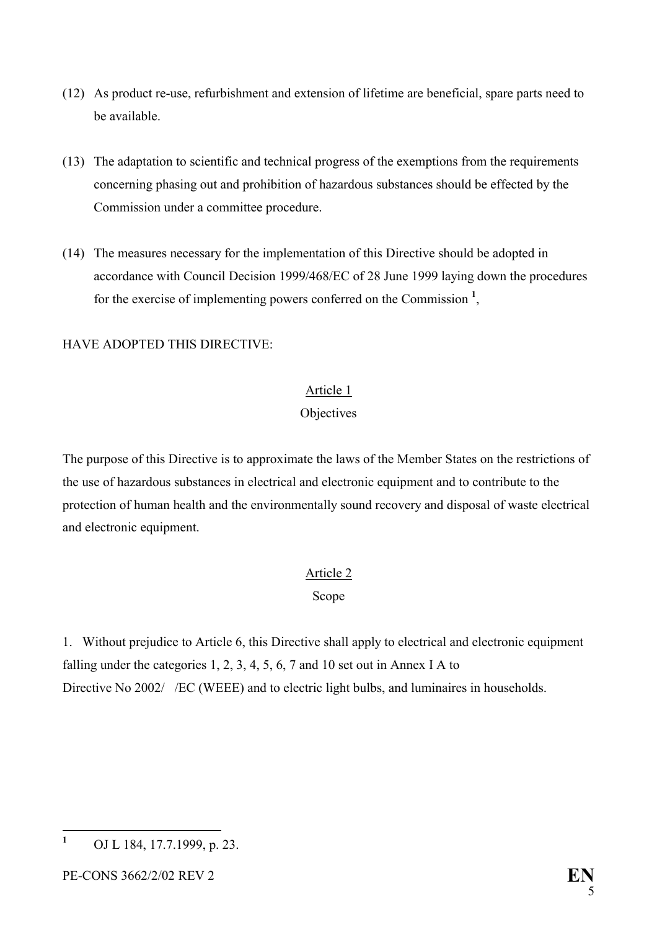- (12) As product re-use, refurbishment and extension of lifetime are beneficial, spare parts need to be available.
- (13) The adaptation to scientific and technical progress of the exemptions from the requirements concerning phasing out and prohibition of hazardous substances should be effected by the Commission under a committee procedure.
- (14) The measures necessary for the implementation of this Directive should be adopted in accordance with Council Decision 1999/468/EC of 28 June 1999 laying down the procedures for the exercise of implementing powers conferred on the Commission **[1](#page-5-0)** ,

# HAVE ADOPTED THIS DIRECTIVE:

# Article 1

## **Objectives**

The purpose of this Directive is to approximate the laws of the Member States on the restrictions of the use of hazardous substances in electrical and electronic equipment and to contribute to the protection of human health and the environmentally sound recovery and disposal of waste electrical and electronic equipment.

# Article 2

#### Scope

1. Without prejudice to Article 6, this Directive shall apply to electrical and electronic equipment falling under the categories 1, 2, 3, 4, 5, 6, 7 and 10 set out in Annex I A to Directive No 2002/ /EC (WEEE) and to electric light bulbs, and luminaires in households.

<span id="page-5-0"></span> $\mathbf{1}$ **<sup>1</sup>** OJ L 184, 17.7.1999, p. 23.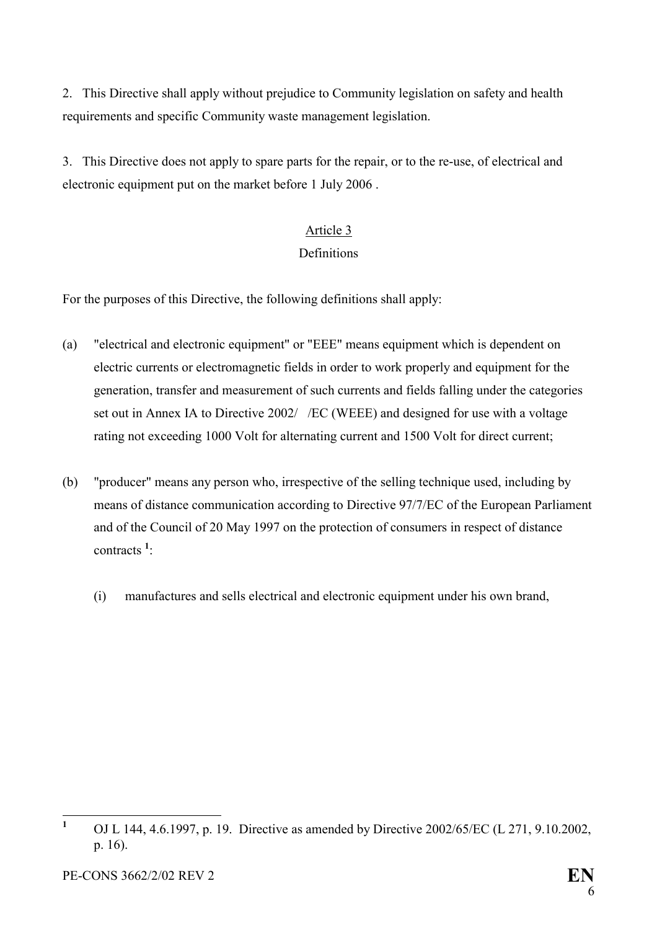2. This Directive shall apply without prejudice to Community legislation on safety and health requirements and specific Community waste management legislation.

3. This Directive does not apply to spare parts for the repair, or to the re-use, of electrical and electronic equipment put on the market before 1 July 2006 .

# Article 3

# **Definitions**

For the purposes of this Directive, the following definitions shall apply:

- (a) "electrical and electronic equipment" or "EEE" means equipment which is dependent on electric currents or electromagnetic fields in order to work properly and equipment for the generation, transfer and measurement of such currents and fields falling under the categories set out in Annex IA to Directive 2002/ /EC (WEEE) and designed for use with a voltage rating not exceeding 1000 Volt for alternating current and 1500 Volt for direct current;
- (b) "producer" means any person who, irrespective of the selling technique used, including by means of distance communication according to Directive 97/7/EC of the European Parliament and of the Council of 20 May 1997 on the protection of consumers in respect of distance contracts **<sup>1</sup>** [:](#page-6-0)
	- (i) manufactures and sells electrical and electronic equipment under his own brand,

<span id="page-6-0"></span> **1** OJ L 144, 4.6.1997, p. 19. Directive as amended by Directive 2002/65/EC (L 271, 9.10.2002, p. 16).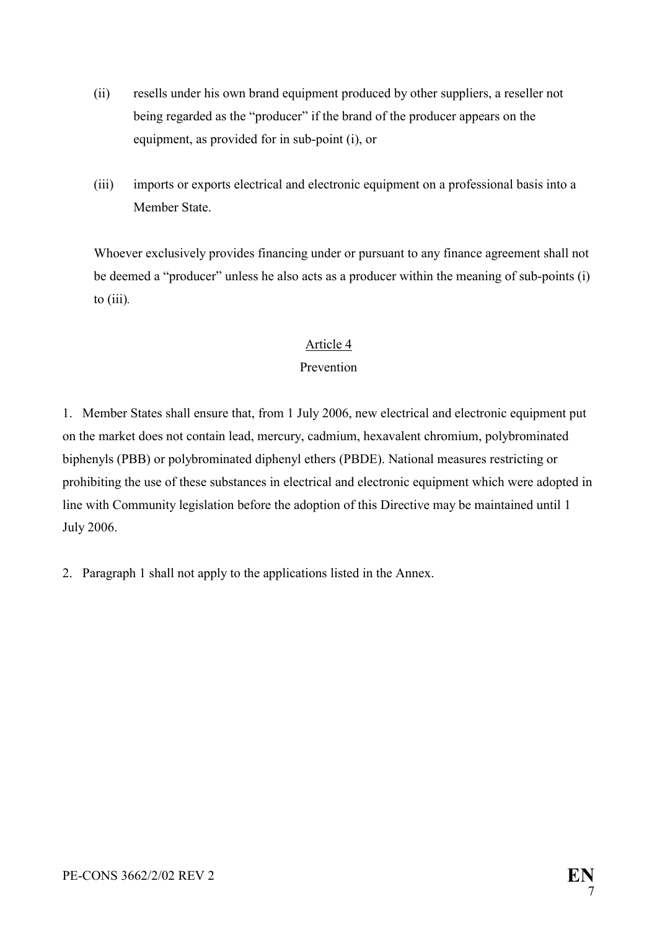- (ii) resells under his own brand equipment produced by other suppliers, a reseller not being regarded as the "producer" if the brand of the producer appears on the equipment, as provided for in sub-point (i), or
- (iii) imports or exports electrical and electronic equipment on a professional basis into a Member State.

Whoever exclusively provides financing under or pursuant to any finance agreement shall not be deemed a "producer" unless he also acts as a producer within the meaning of sub-points (i) to (iii)*.* 

# Article 4

# Prevention

1. Member States shall ensure that, from 1 July 2006, new electrical and electronic equipment put on the market does not contain lead, mercury, cadmium, hexavalent chromium, polybrominated biphenyls (PBB) or polybrominated diphenyl ethers (PBDE). National measures restricting or prohibiting the use of these substances in electrical and electronic equipment which were adopted in line with Community legislation before the adoption of this Directive may be maintained until 1 July 2006.

2. Paragraph 1 shall not apply to the applications listed in the Annex.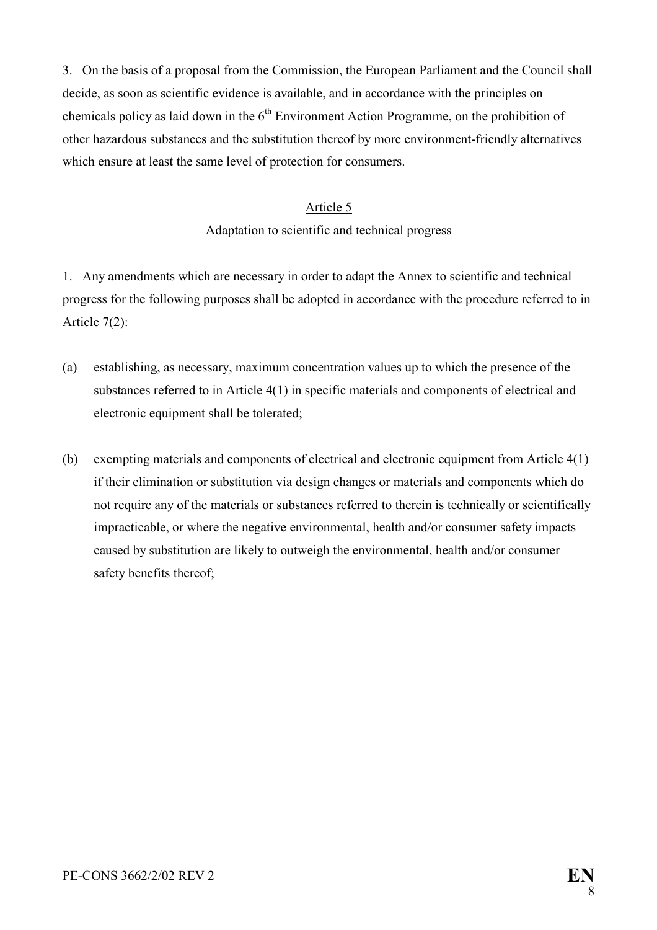3. On the basis of a proposal from the Commission, the European Parliament and the Council shall decide, as soon as scientific evidence is available, and in accordance with the principles on chemicals policy as laid down in the  $6<sup>th</sup>$  Environment Action Programme, on the prohibition of other hazardous substances and the substitution thereof by more environment-friendly alternatives which ensure at least the same level of protection for consumers.

#### Article 5

Adaptation to scientific and technical progress

1. Any amendments which are necessary in order to adapt the Annex to scientific and technical progress for the following purposes shall be adopted in accordance with the procedure referred to in Article 7(2):

- (a) establishing, as necessary, maximum concentration values up to which the presence of the substances referred to in Article 4(1) in specific materials and components of electrical and electronic equipment shall be tolerated;
- (b) exempting materials and components of electrical and electronic equipment from Article 4(1) if their elimination or substitution via design changes or materials and components which do not require any of the materials or substances referred to therein is technically or scientifically impracticable, or where the negative environmental, health and/or consumer safety impacts caused by substitution are likely to outweigh the environmental, health and/or consumer safety benefits thereof;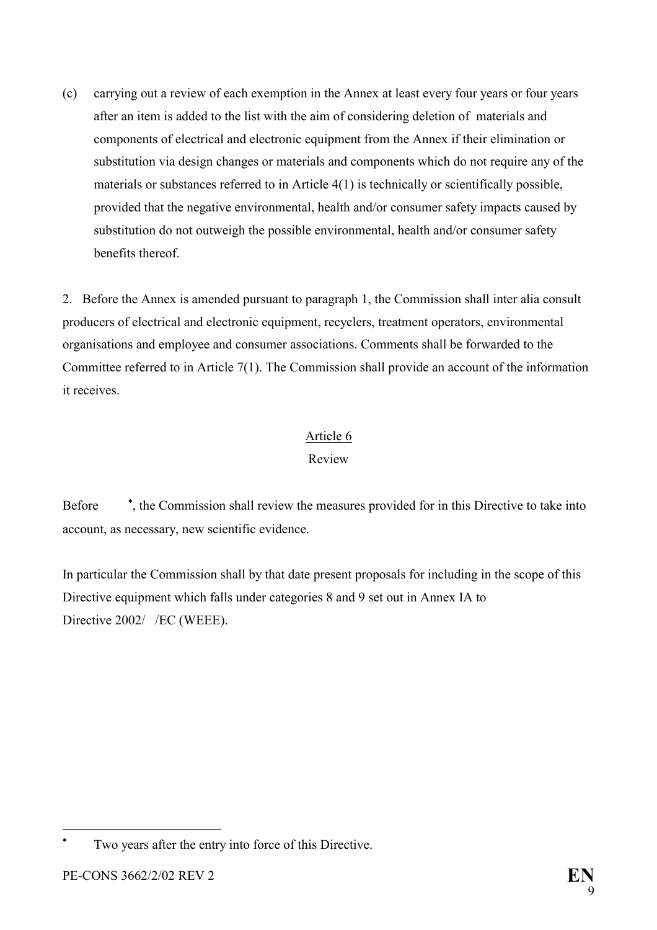(c) carrying out a review of each exemption in the Annex at least every four years or four years after an item is added to the list with the aim of considering deletion of materials and components of electrical and electronic equipment from the Annex if their elimination or substitution via design changes or materials and components which do not require any of the materials or substances referred to in Article 4(1) is technically or scientifically possible, provided that the negative environmental, health and/or consumer safety impacts caused by substitution do not outweigh the possible environmental, health and/or consumer safety benefits thereof.

2. Before the Annex is amended pursuant to paragraph 1, the Commission shall inter alia consult producers of electrical and electronic equipment, recyclers, treatment operators, environmental organisations and employee and consumer associations. Comments shall be forwarded to the Committee referred to in Article 7(1). The Commission shall provide an account of the information it receives.

# Article 6

# Review

Before , the Commission shall review the measures provided for in this Directive to take into account, as necessary, new scientific evidence.

In particular the Commission shall by that date present proposals for including in the scope of this Directive equipment which falls under categories 8 and 9 set out in Annex IA to Directive 2002/ /EC (WEEE).

 $\overline{a}$ 

<span id="page-9-0"></span><sup>\*</sup> Two years after the entry into force of this Directive.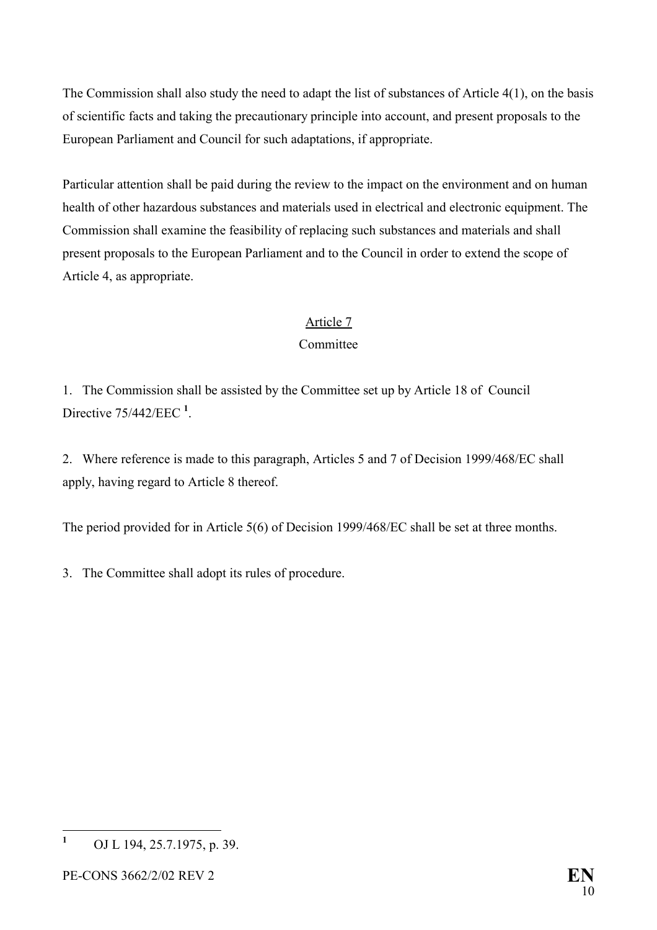The Commission shall also study the need to adapt the list of substances of Article 4(1), on the basis of scientific facts and taking the precautionary principle into account, and present proposals to the European Parliament and Council for such adaptations, if appropriate.

Particular attention shall be paid during the review to the impact on the environment and on human health of other hazardous substances and materials used in electrical and electronic equipment. The Commission shall examine the feasibility of replacing such substances and materials and shall present proposals to the European Parliament and to the Council in order to extend the scope of Article 4, as appropriate.

# Article 7

# Committee

1. The Commission shall be assisted by the Committee set up by Article 18 of Council Directive 75/442/EEC **[1](#page-10-0)** .

2. Where reference is made to this paragraph, Articles 5 and 7 of Decision 1999/468/EC shall apply, having regard to Article 8 thereof.

The period provided for in Article 5(6) of Decision 1999/468/EC shall be set at three months.

3. The Committee shall adopt its rules of procedure.

<span id="page-10-0"></span> **1** OJ L 194, 25.7.1975, p. 39.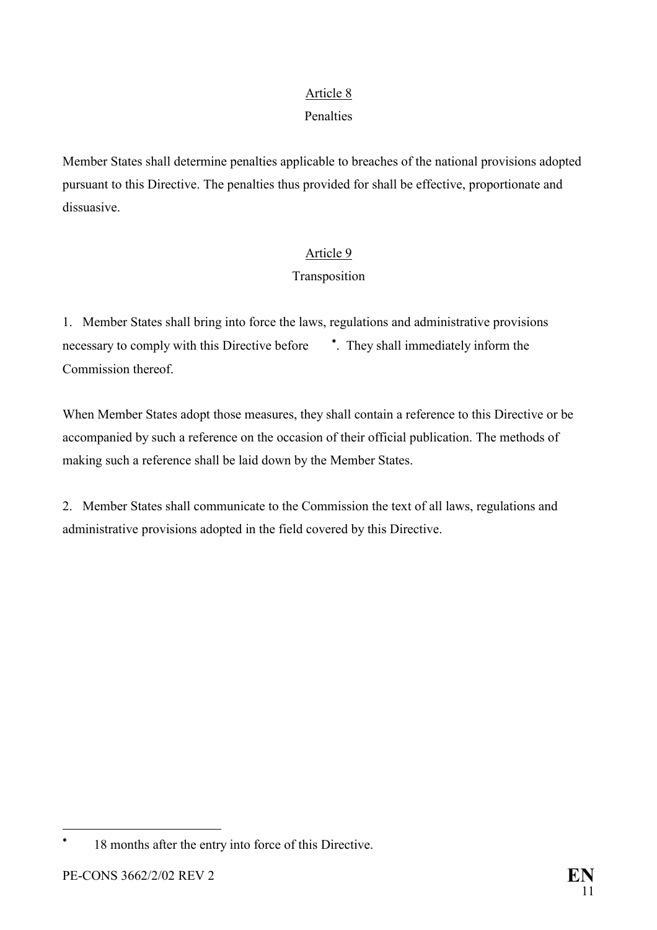# Article 8

## Penalties

Member States shall determine penalties applicable to breaches of the national provisions adopted pursuant to this Directive. The penalties thus provided for shall be effective, proportionate and dissuasive.

# Article 9

# Transposition

1. Member States shall bring into force the laws, regulations and administrative provisions necessary to comply with this Directive before  $\overline{\phantom{a}}$ [.](#page-11-0) They shall immediately inform the Commission thereof.

When Member States adopt those measures, they shall contain a reference to this Directive or be accompanied by such a reference on the occasion of their official publication. The methods of making such a reference shall be laid down by the Member States.

2. Member States shall communicate to the Commission the text of all laws, regulations and administrative provisions adopted in the field covered by this Directive.

 $\overline{a}$ 

<span id="page-11-0"></span><sup>\*</sup> 18 months after the entry into force of this Directive.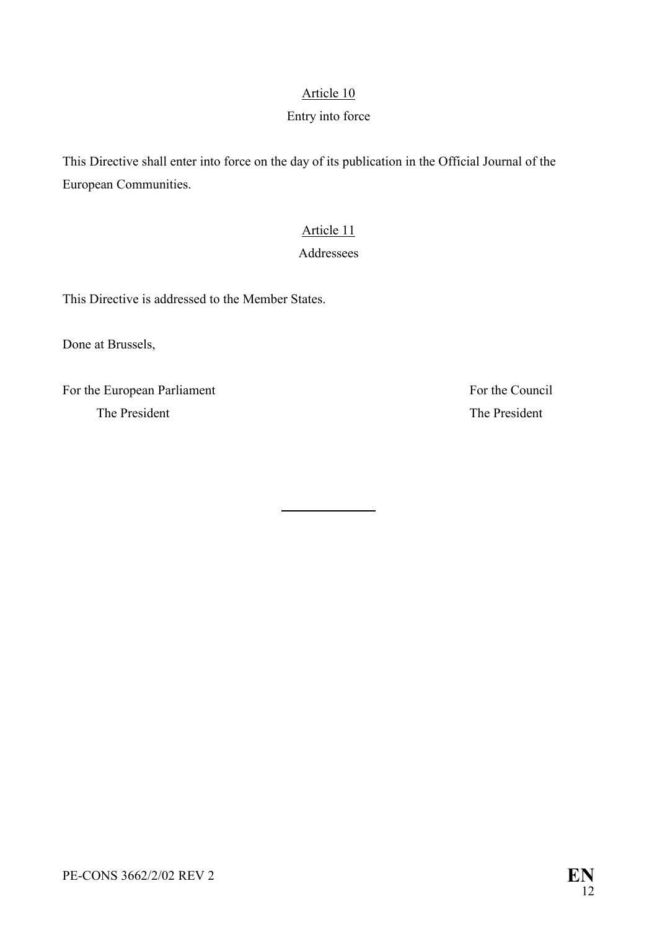## Article 10

#### Entry into force

This Directive shall enter into force on the day of its publication in the Official Journal of the European Communities.

l

# Article 11

## Addressees

This Directive is addressed to the Member States.

Done at Brussels,

For the European Parliament For the Council The President The President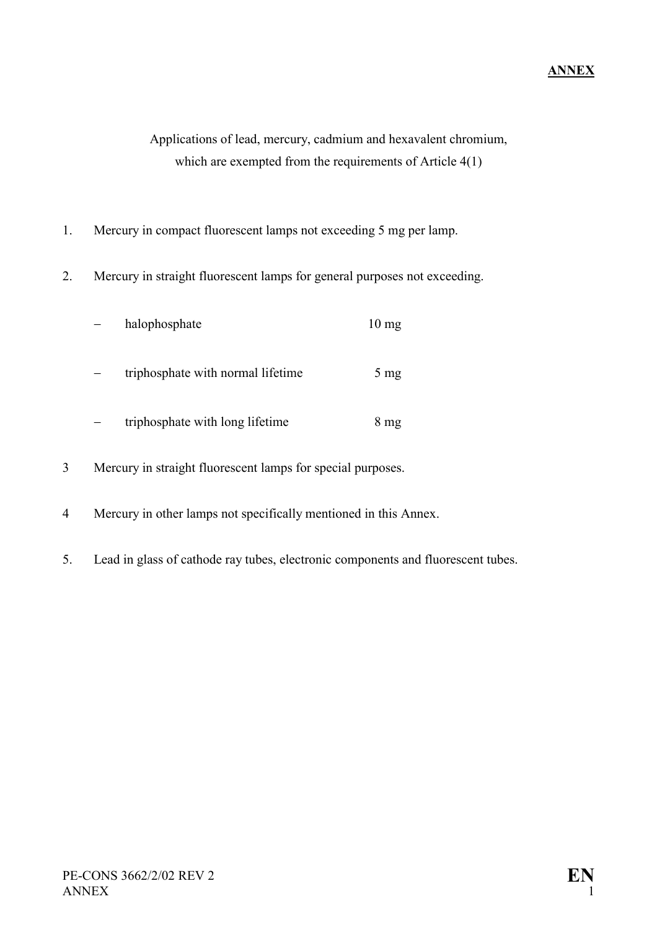Applications of lead, mercury, cadmium and hexavalent chromium, which are exempted from the requirements of Article 4(1)

- 1. Mercury in compact fluorescent lamps not exceeding 5 mg per lamp.
- 2. Mercury in straight fluorescent lamps for general purposes not exceeding.

| halophosphate                     | $10 \text{ mg}$ |
|-----------------------------------|-----------------|
| triphosphate with normal lifetime | $5 \text{ mg}$  |
| triphosphate with long lifetime   | $8 \text{ mg}$  |

- 3 Mercury in straight fluorescent lamps for special purposes.
- 4 Mercury in other lamps not specifically mentioned in this Annex.
- 5. Lead in glass of cathode ray tubes, electronic components and fluorescent tubes.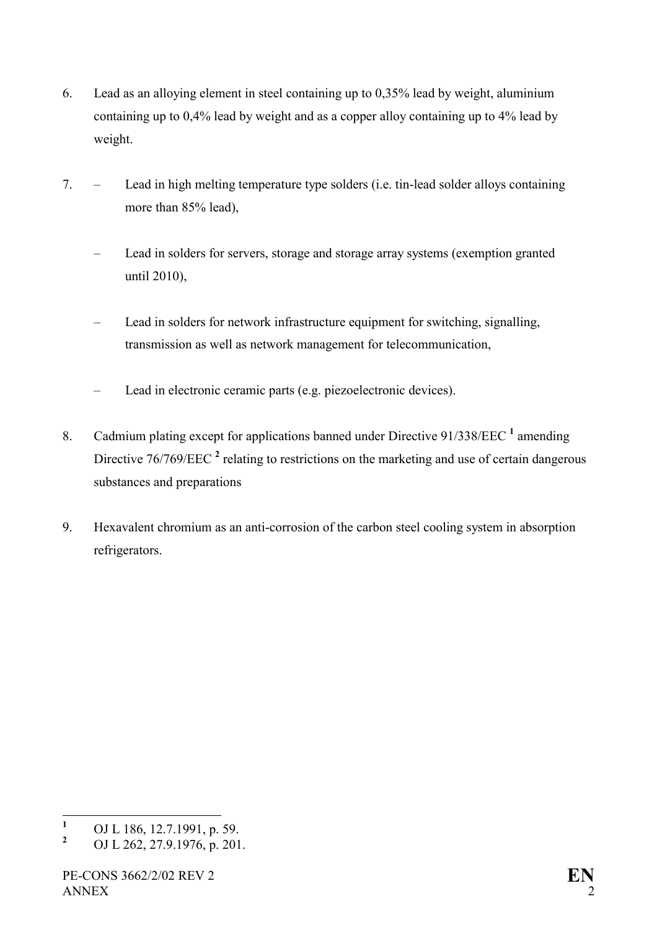- 6. Lead as an alloying element in steel containing up to 0,35% lead by weight, aluminium containing up to 0,4% lead by weight and as a copper alloy containing up to 4% lead by weight.
- 7. Lead in high melting temperature type solders (i.e. tin-lead solder alloys containing more than 85% lead),
	- Lead in solders for servers, storage and storage array systems (exemption granted until 2010),
	- Lead in solders for network infrastructure equipment for switching, signalling, transmission as well as network management for telecommunication,
	- Lead in electronic ceramic parts (e.g. piezoelectronic devices).
- 8. Cadmium plating except for applications banned under Directive 9[1](#page-14-0)/338/EEC<sup>1</sup> amending Directive 76/769/EEC<sup>[2](#page-14-1)</sup> relating to restrictions on the marketing and use of certain dangerous substances and preparations
- 9. Hexavalent chromium as an anti-corrosion of the carbon steel cooling system in absorption refrigerators.

<span id="page-14-0"></span> **1** OJ L 186, 12.7.1991, p. 59.

<span id="page-14-1"></span>**<sup>2</sup>** OJ L 262, 27.9.1976, p. 201.